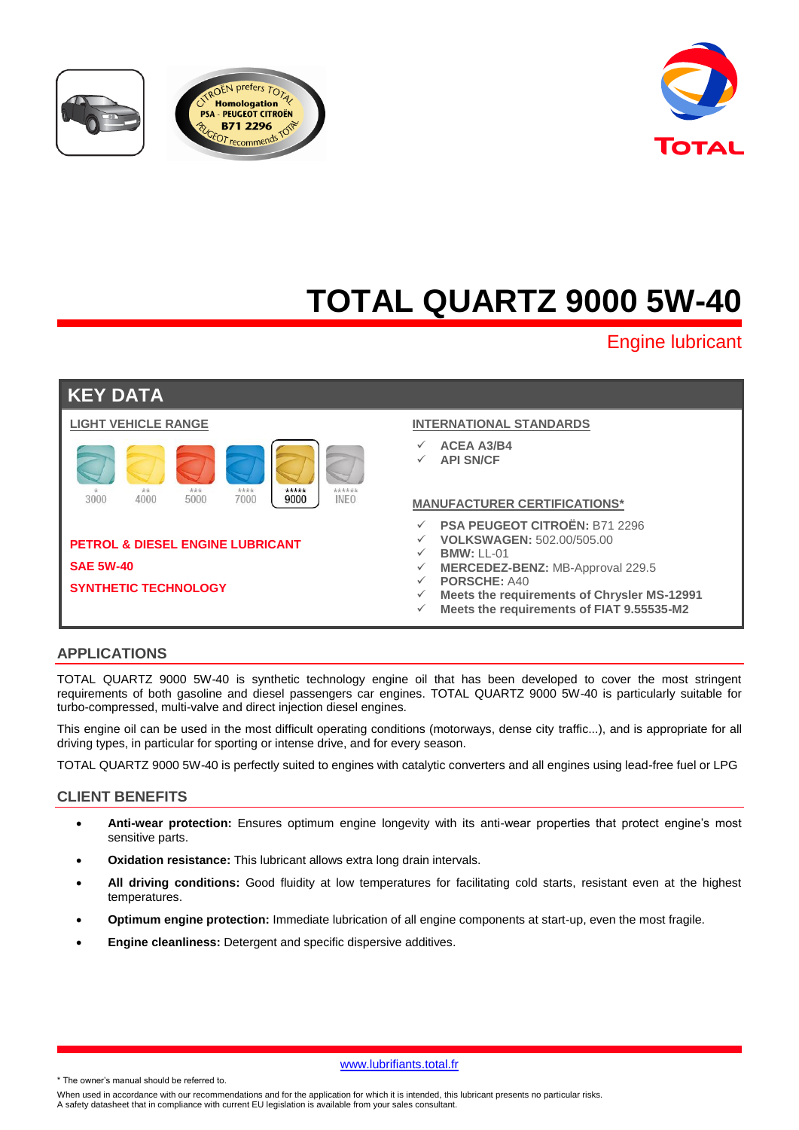





# **TOTAL QUARTZ 9000 5W-40**

Engine lubricant

| <b>KEY DATA</b>                                                 |                                                                                                                                                                                              |
|-----------------------------------------------------------------|----------------------------------------------------------------------------------------------------------------------------------------------------------------------------------------------|
| <b>LIGHT VEHICLE RANGE</b>                                      | <b>INTERNATIONAL STANDARDS</b>                                                                                                                                                               |
| ****<br>*****<br>***<br>******<br>**                            | <b>ACEA A3/B4</b><br>✓<br><b>API SN/CF</b>                                                                                                                                                   |
| 3000<br>4000<br>5000<br>9000<br><b>INEO</b><br>7000             | <b>MANUFACTURER CERTIFICATIONS*</b>                                                                                                                                                          |
| <b>PETROL &amp; DIESEL ENGINE LUBRICANT</b><br><b>SAE 5W-40</b> | PSA PEUGEOT CITROËN: B71 2296<br><b>VOLKSWAGEN: 502.00/505.00</b><br>$BMW: LL-01$<br>$\checkmark$<br>MERCEDEZ-BENZ: MB-Approval 229.5<br>$\checkmark$<br><b>PORSCHE: A40</b><br>$\checkmark$ |
| <b>SYNTHETIC TECHNOLOGY</b>                                     | Meets the requirements of Chrysler MS-12991                                                                                                                                                  |

#### **Meets the requirements of FIAT 9.55535-M2**

## **APPLICATIONS**

TOTAL QUARTZ 9000 5W-40 is synthetic technology engine oil that has been developed to cover the most stringent requirements of both gasoline and diesel passengers car engines. TOTAL QUARTZ 9000 5W-40 is particularly suitable for turbo-compressed, multi-valve and direct injection diesel engines.

This engine oil can be used in the most difficult operating conditions (motorways, dense city traffic...), and is appropriate for all driving types, in particular for sporting or intense drive, and for every season.

TOTAL QUARTZ 9000 5W-40 is perfectly suited to engines with catalytic converters and all engines using lead-free fuel or LPG

## **CLIENT BENEFITS**

- **Anti-wear protection:** Ensures optimum engine longevity with its anti-wear properties that protect engine's most sensitive parts.
- **Oxidation resistance:** This lubricant allows extra long drain intervals.
- **All driving conditions:** Good fluidity at low temperatures for facilitating cold starts, resistant even at the highest temperatures.
- **Optimum engine protection:** Immediate lubrication of all engine components at start-up, even the most fragile.
- **Engine cleanliness:** Detergent and specific dispersive additives.

www.lubrifiants.total.fr

\* The owner's manual should be referred to.

When used in accordance with our recommendations and for the application for which it is intended, this lubricant presents no particular risks. A safety datasheet that in compliance with current EU legislation is available from your sales consultant.